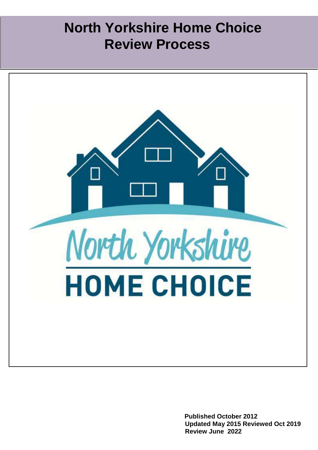# **North Yorkshire Home Choice Review Process**



**Published October 2012 Updated May 2015 Reviewed Oct 2019 Review June 2022**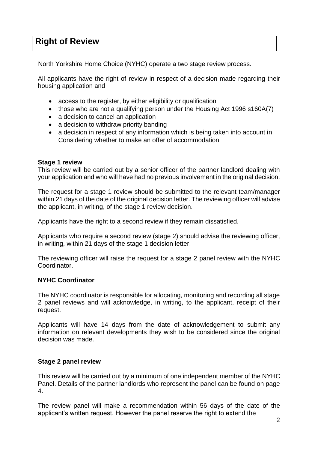## **Right of Review**

North Yorkshire Home Choice (NYHC) operate a two stage review process.

All applicants have the right of review in respect of a decision made regarding their housing application and

- access to the register, by either eligibility or qualification
- those who are not a qualifying person under the Housing Act 1996 s160A(7)
- a decision to cancel an application
- a decision to withdraw priority banding
- a decision in respect of any information which is being taken into account in Considering whether to make an offer of accommodation

### **Stage 1 review**

This review will be carried out by a senior officer of the partner landlord dealing with your application and who will have had no previous involvement in the original decision.

The request for a stage 1 review should be submitted to the relevant team/manager within 21 days of the date of the original decision letter. The reviewing officer will advise the applicant, in writing, of the stage 1 review decision.

Applicants have the right to a second review if they remain dissatisfied.

Applicants who require a second review (stage 2) should advise the reviewing officer, in writing, within 21 days of the stage 1 decision letter.

The reviewing officer will raise the request for a stage 2 panel review with the NYHC Coordinator.

### **NYHC Coordinator**

The NYHC coordinator is responsible for allocating, monitoring and recording all stage 2 panel reviews and will acknowledge, in writing, to the applicant, receipt of their request.

Applicants will have 14 days from the date of acknowledgement to submit any information on relevant developments they wish to be considered since the original decision was made.

### **Stage 2 panel review**

This review will be carried out by a minimum of one independent member of the NYHC Panel. Details of the partner landlords who represent the panel can be found on page 4.

The review panel will make a recommendation within 56 days of the date of the applicant's written request. However the panel reserve the right to extend the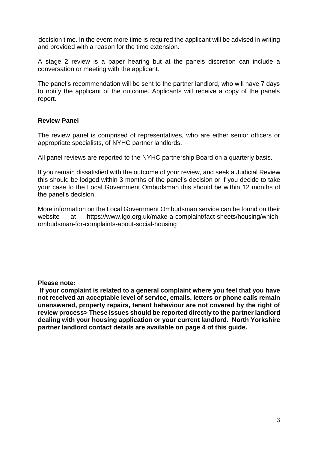decision time. In the event more time is required the applicant will be advised in writing and provided with a reason for the time extension.

A stage 2 review is a paper hearing but at the panels discretion can include a conversation or meeting with the applicant.

The panel's recommendation will be sent to the partner landlord, who will have 7 days to notify the applicant of the outcome. Applicants will receive a copy of the panels report.

### **Review Panel**

The review panel is comprised of representatives, who are either senior officers or appropriate specialists, of NYHC partner landlords.

All panel reviews are reported to the NYHC partnership Board on a quarterly basis.

If you remain dissatisfied with the outcome of your review, and seek a Judicial Review this should be lodged within 3 months of the panel's decision or if you decide to take your case to the Local Government Ombudsman this should be within 12 months of the panel's decision.

More information on the Local Government Ombudsman service can be found on their website at https://www.lgo.org.uk/make-a-complaint/fact-sheets/housing/whichombudsman-for-complaints-about-social-housing

**Please note:** 

**If your complaint is related to a general complaint where you feel that you have not received an acceptable level of service, emails, letters or phone calls remain unanswered, property repairs, tenant behaviour are not covered by the right of review process> These issues should be reported directly to the partner landlord dealing with your housing application or your current landlord. North Yorkshire partner landlord contact details are available on page 4 of this guide.**